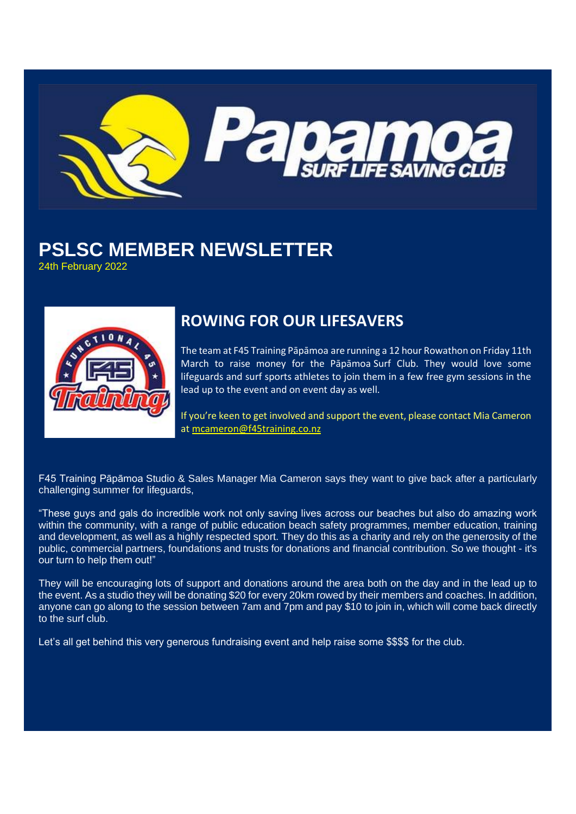

# **PSLSC MEMBER NEWSLETTER**

24th February 2022



## **ROWING FOR OUR LIFESAVERS**

The team at F45 Training Pāpāmoa are running a 12 hour Rowathon on Friday 11th March to raise money for the Pāpāmoa Surf Club. They would love some lifeguards and surf sports athletes to join them in a few free gym sessions in the lead up to the event and on event day as well.

If you're keen to get involved and support the event, please contact Mia Cameron at [mcameron@f45training.co.nz](mailto:mcameron@f45training.co.nz)

F45 Training Pāpāmoa Studio & Sales Manager Mia Cameron says they want to give back after a particularly challenging summer for lifeguards,

"These guys and gals do incredible work not only saving lives across our beaches but also do amazing work within the community, with a range of public education beach safety programmes, member education, training and development, as well as a highly respected sport. They do this as a charity and rely on the generosity of the public, commercial partners, foundations and trusts for donations and financial contribution. So we thought - it's our turn to help them out!"

They will be encouraging lots of support and donations around the area both on the day and in the lead up to the event. As a studio they will be donating \$20 for every 20km rowed by their members and coaches. In addition, anyone can go along to the session between 7am and 7pm and pay \$10 to join in, which will come back directly to the surf club.

Let's all get behind this very generous fundraising event and help raise some \$\$\$\$ for the club.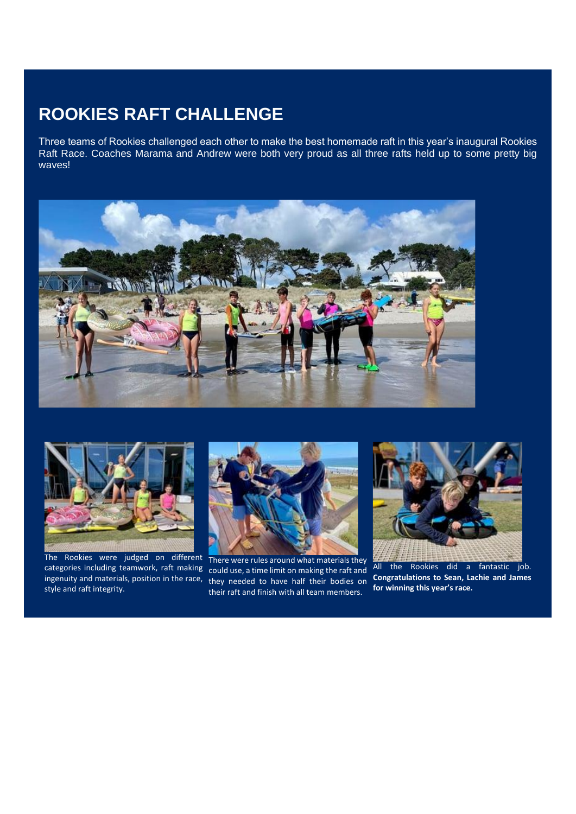## **ROOKIES RAFT CHALLENGE**

Three teams of Rookies challenged each other to make the best homemade raft in this year's inaugural Rookies Raft Race. Coaches Marama and Andrew were both very proud as all three rafts held up to some pretty big waves!





The Rookies were judged on different style and raft integrity.



categories including teamwork, raft making could use, a time limit on making the raft and ingenuity and materials, position in the race, they needed to have half their bodies on There were rules around what materials they their raft and finish with all team members.



All the Rookies did a fantastic job. **Congratulations to Sean, Lachie and James for winning this year's race.**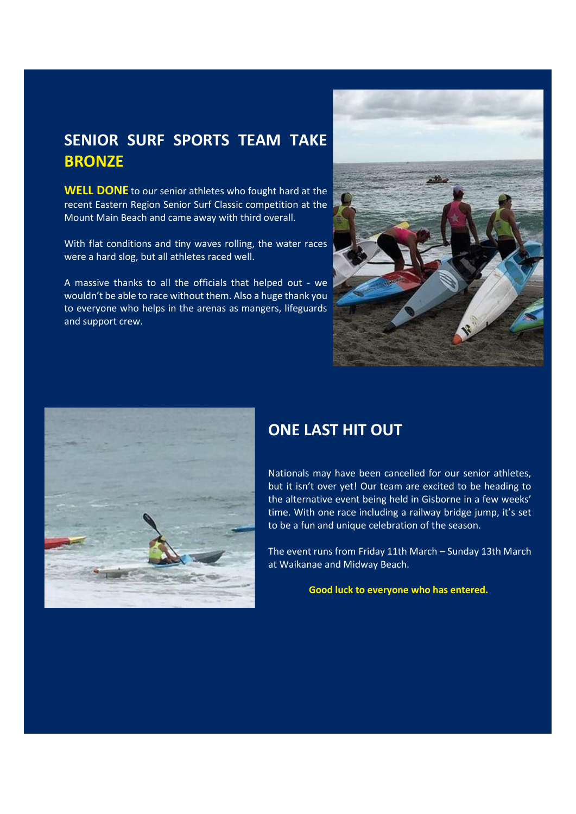## **SENIOR SURF SPORTS TEAM TAKE BRONZE**

**WELL DONE** to our senior athletes who fought hard at the recent Eastern Region Senior Surf Classic competition at the Mount Main Beach and came away with third overall.

With flat conditions and tiny waves rolling, the water races were a hard slog, but all athletes raced well.

A massive thanks to all the officials that helped out - we wouldn't be able to race without them. Also a huge thank you to everyone who helps in the arenas as mangers, lifeguards and support crew.





#### **ONE LAST HIT OUT**

Nationals may have been cancelled for our senior athletes, but it isn't over yet! Our team are excited to be heading to the alternative event being held in Gisborne in a few weeks' time. With one race including a railway bridge jump, it's set to be a fun and unique celebration of the season.

The event runs from Friday 11th March – Sunday 13th March at Waikanae and Midway Beach.

**Good luck to everyone who has entered.**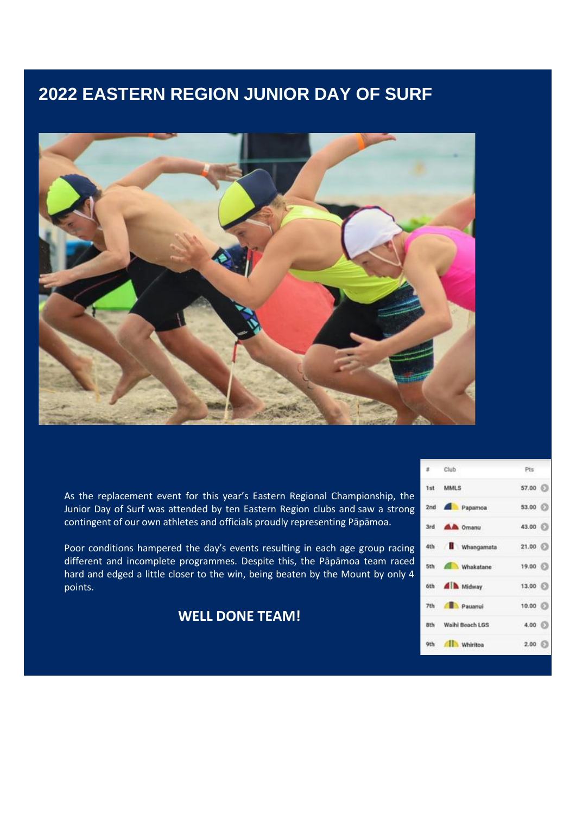## **2022 EASTERN REGION JUNIOR DAY OF SURF**



As the replacement event for this year's Eastern Regional Championship, the Junior Day of Surf was attended by ten Eastern Region clubs and saw a strong contingent of our own athletes and officials proudly representing Pāpāmoa.

Poor conditions hampered the day's events resulting in each age group racing different and incomplete programmes. Despite this, the Pāpāmoa team raced hard and edged a little closer to the win, being beaten by the Mount by only 4 points.

**WELL DONE TEAM!**

| ×.  | Club.                 | Pts:            |
|-----|-----------------------|-----------------|
|     | 1st MMLS              | 57.00 $\odot$   |
|     | 2nd <b>Papamoa</b>    | 53.00 (2)       |
|     | 3rd <b>AA</b> Omanu   | 43.00 $\odot$   |
| 4th | Whangamata            | $21.00$ $\odot$ |
|     | 5th 60 Whakatane      | $19.00$ $\odot$ |
|     | 6th <b>All Midway</b> | $13.00$ $\odot$ |
| 7th | Pauanui               | 10.00           |
|     | 8th Waihi Beach LGS   | 4.00 (          |
|     | 9th All Whiritoa      | 2.00            |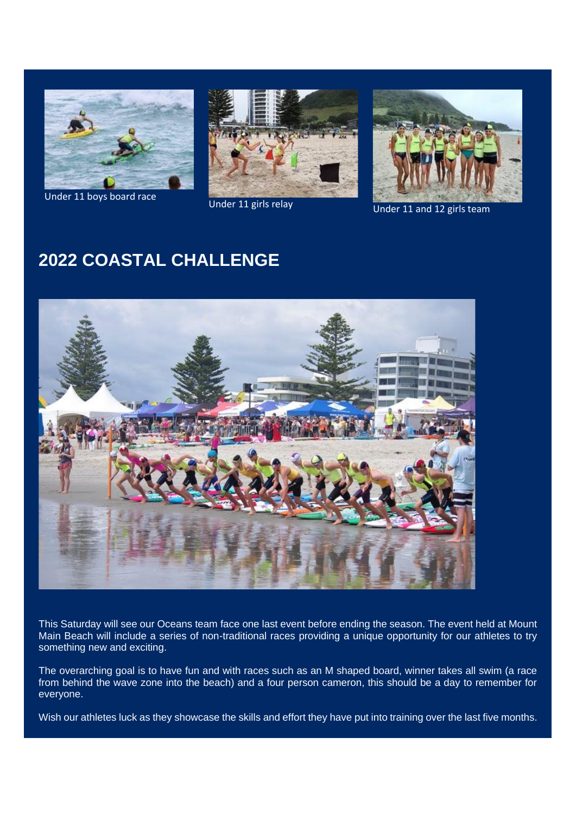

Under 11 boys board race





Under 11 girls relay Under 11 and 12 girls team

## **2022 COASTAL CHALLENGE**



This Saturday will see our Oceans team face one last event before ending the season. The event held at Mount Main Beach will include a series of non-traditional races providing a unique opportunity for our athletes to try something new and exciting.

The overarching goal is to have fun and with races such as an M shaped board, winner takes all swim (a race from behind the wave zone into the beach) and a four person cameron, this should be a day to remember for everyone.

Wish our athletes luck as they showcase the skills and effort they have put into training over the last five months.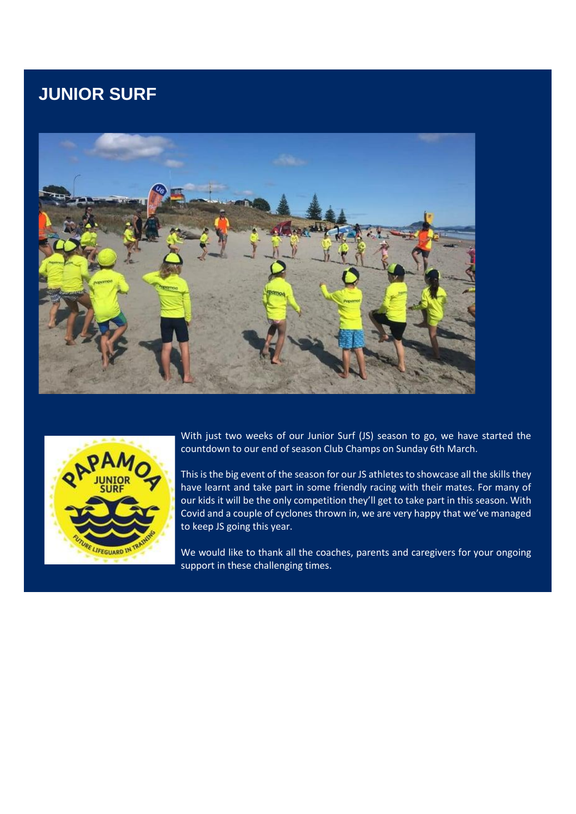## **JUNIOR SURF**





With just two weeks of our Junior Surf (JS) season to go, we have started the countdown to our end of season Club Champs on Sunday 6th March.

This is the big event of the season for our JS athletes to showcase all the skills they have learnt and take part in some friendly racing with their mates. For many of our kids it will be the only competition they'll get to take part in this season. With Covid and a couple of cyclones thrown in, we are very happy that we've managed to keep JS going this year.

We would like to thank all the coaches, parents and caregivers for your ongoing support in these challenging times.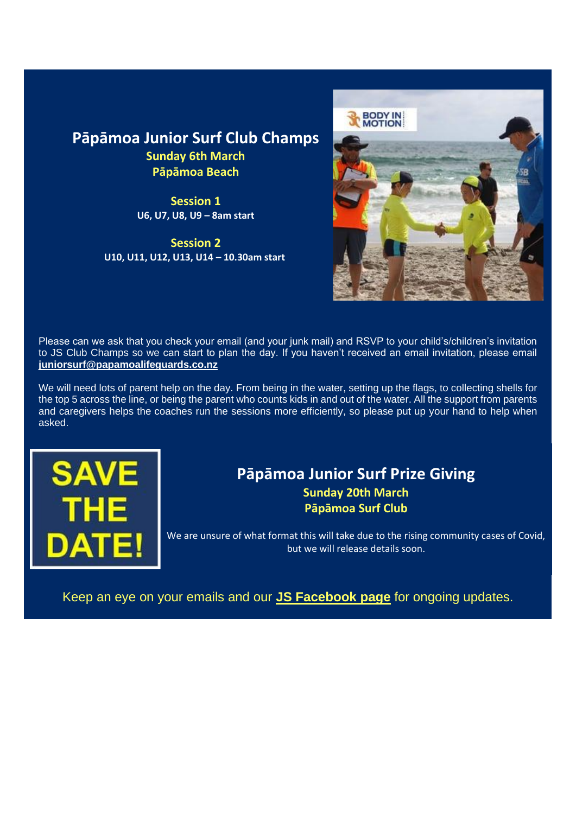#### **Pāpāmoa Junior Surf Club Champs Sunday 6th March Pāpāmoa Beach**

**Session 1 U6, U7, U8, U9 – 8am start**

**Session 2 U10, U11, U12, U13, U14 – 10.30am start**



Please can we ask that you check your email (and your junk mail) and RSVP to your child's/children's invitation to JS Club Champs so we can start to plan the day. If you haven't received an email invitation, please email **[juniorsurf@papamoalifeguards.co.nz](mailto:juniorsurf@papamoalifeguards.co.nz)**

We will need lots of parent help on the day. From being in the water, setting up the flags, to collecting shells for the top 5 across the line, or being the parent who counts kids in and out of the water. All the support from parents and caregivers helps the coaches run the sessions more efficiently, so please put up your hand to help when asked.



#### **Pāpāmoa Junior Surf Prize Giving Sunday 20th March Pāpāmoa Surf Club**

We are unsure of what format this will take due to the rising community cases of Covid, but we will release details soon.

Keep an eye on your emails and our **[JS Facebook page](https://www.facebook.com/groups/PSLSCJuniorSurf)** for ongoing updates.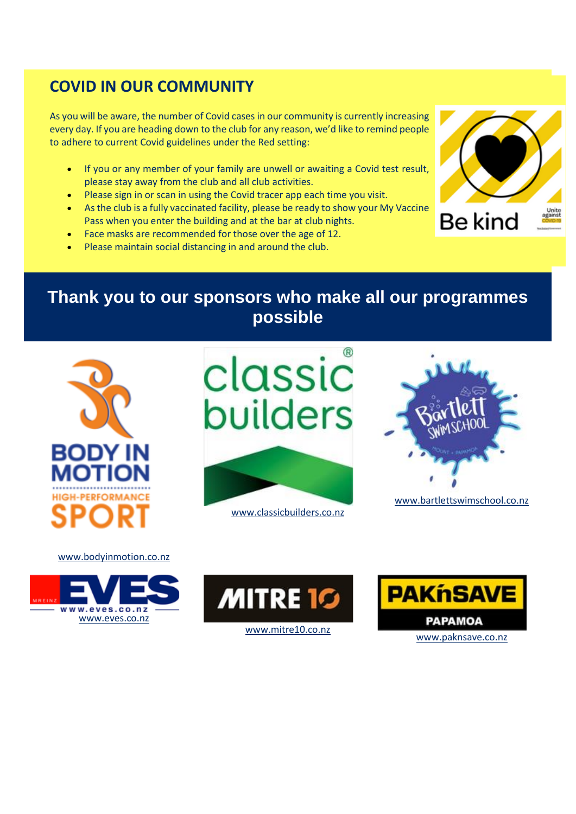## **COVID IN OUR COMMUNITY**

As you will be aware, the number of Covid cases in our community is currently increasing every day. If you are heading down to the club for any reason, we'd like to remind people to adhere to current Covid guidelines under the Red setting:

- If you or any member of your family are unwell or awaiting a Covid test result, please stay away from the club and all club activities.
- **Please sign in or scan in using the Covid tracer app each time you visit.**
- As the club is a fully vaccinated facility, please be ready to show your My Vaccine Pass when you enter the building and at the bar at club nights.
- Face masks are recommended for those over the age of 12.
- Please maintain social distancing in and around the club.



**Thank you to our sponsors who make all our programmes possible**



classic builders <www.classicbuilders.co.nz>



<www.bartlettswimschool.co.nz>



<www.bodyinmotion.co.nz>